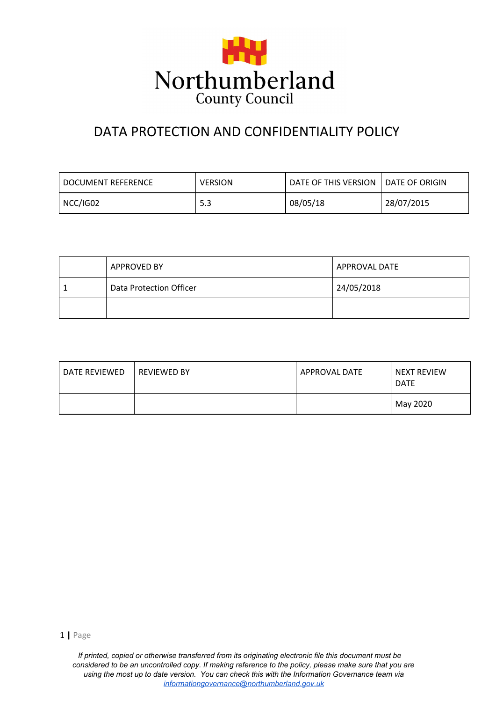

# DATA PROTECTION AND CONFIDENTIALITY POLICY

| I DOCUMENT REFERENCE | <b>VERSION</b> | DATE OF THIS VERSION | <b>LDATE OF ORIGIN</b> |
|----------------------|----------------|----------------------|------------------------|
| NCC/IG02             | 5.3            | 08/05/18             | 28/07/2015             |

| <b>APPROVED BY</b>      | APPROVAL DATE |
|-------------------------|---------------|
| Data Protection Officer | 24/05/2018    |
|                         |               |

| DATE REVIEWED | <b>REVIEWED BY</b> | APPROVAL DATE | NEXT REVIEW<br><b>DATE</b> |
|---------------|--------------------|---------------|----------------------------|
|               |                    |               | May 2020                   |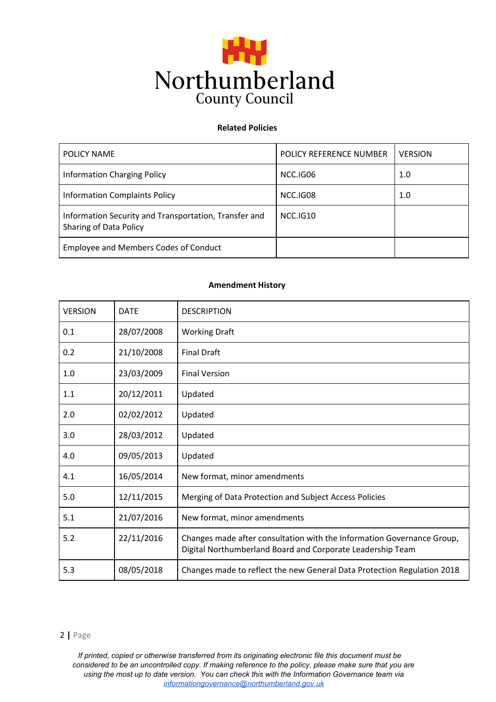

### **Related Policies**

| POLICY NAME                                                                     | POLICY REFERENCE NUMBER | <b>VERSION</b> |
|---------------------------------------------------------------------------------|-------------------------|----------------|
| <b>Information Charging Policy</b>                                              | NCC.IG06                | 1.0            |
| <b>Information Complaints Policy</b>                                            | NCC.IG08                | 1.0            |
| Information Security and Transportation, Transfer and<br>Sharing of Data Policy | NCC.IG10                |                |
| <b>Employee and Members Codes of Conduct</b>                                    |                         |                |

#### **Amendment History**

| <b>VERSION</b> | <b>DATE</b> | <b>DESCRIPTION</b>                                                                                                                   |
|----------------|-------------|--------------------------------------------------------------------------------------------------------------------------------------|
| 0.1            | 28/07/2008  | <b>Working Draft</b>                                                                                                                 |
| 0.2            | 21/10/2008  | <b>Final Draft</b>                                                                                                                   |
| 1.0            | 23/03/2009  | <b>Final Version</b>                                                                                                                 |
| 1.1            | 20/12/2011  | Updated                                                                                                                              |
| 2.0            | 02/02/2012  | Updated                                                                                                                              |
| 3.0            | 28/03/2012  | Updated                                                                                                                              |
| 4.0            | 09/05/2013  | Updated                                                                                                                              |
| 4.1            | 16/05/2014  | New format, minor amendments                                                                                                         |
| 5.0            | 12/11/2015  | Merging of Data Protection and Subject Access Policies                                                                               |
| 5.1            | 21/07/2016  | New format, minor amendments                                                                                                         |
| 5.2            | 22/11/2016  | Changes made after consultation with the Information Governance Group,<br>Digital Northumberland Board and Corporate Leadership Team |
| 5.3            | 08/05/2018  | Changes made to reflect the new General Data Protection Regulation 2018                                                              |

#### [2](http://www.ico.org.uk/) **|** Page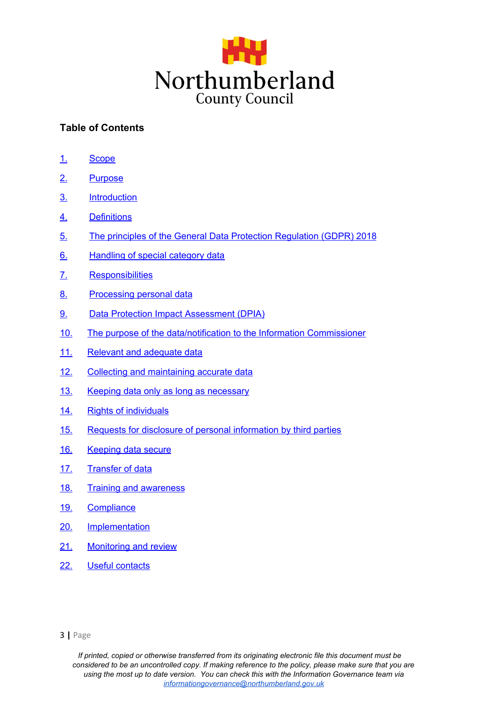

# **Table of Contents**

- [1.](#page-3-0) [Scope](#page-3-0)
- [2.](#page-3-1) [Purpose](#page-3-1)
- [3.](#page-3-2) [Introduction](#page-3-2)
- [4.](#page-4-0) [Definitions](#page-4-0)
- [5.](#page-4-1) The principles of the General Data Protection [Regulation](#page-4-1) (GDPR) 2018
- [6.](#page-7-0) [Handling](#page-7-0) of special category data
- [7.](#page-6-0) [Responsibilities](#page-6-0)
- [8.](#page-7-0) [Processing](#page-7-0) personal dat[a](#page-7-0)
- [9.](#page-8-0) Data Protection Impact [Assessment](#page-8-0) (DPIA)
- [10.](#page-9-0) The purpose of the [data/notification](#page-9-0) to the Information Commissioner
- [11.](#page-10-0) Relevant and [adequate](#page-10-0) data
- [12.](#page-10-1) Collecting and [maintaining](#page-10-1) accurate data
- [13.](#page-10-2) Keeping data only as long as [necessary](#page-10-2)
- [14.](#page-10-3) Rights of [individuals](#page-10-3)
- [15.](#page-12-0) Requests for disclosure of personal [information](#page-12-0) by third parties
- [16.](#page-13-0) [Keeping](#page-13-0) data secure
- [17.](#page-13-1) [Transfer](#page-13-1) of data
- [18.](#page-13-2) Training and [awareness](#page-13-2)
- [19.](#page-14-0) [Compliance](#page-14-0)
- [20.](#page-14-1) [Implementation](#page-14-1)
- [21.](#page-14-2) [Monitoring](#page-14-2) and review
- [22.](#page-14-3) Useful [contacts](#page-14-3)

[<sup>3</sup>](http://www.ico.org.uk/) **|** Page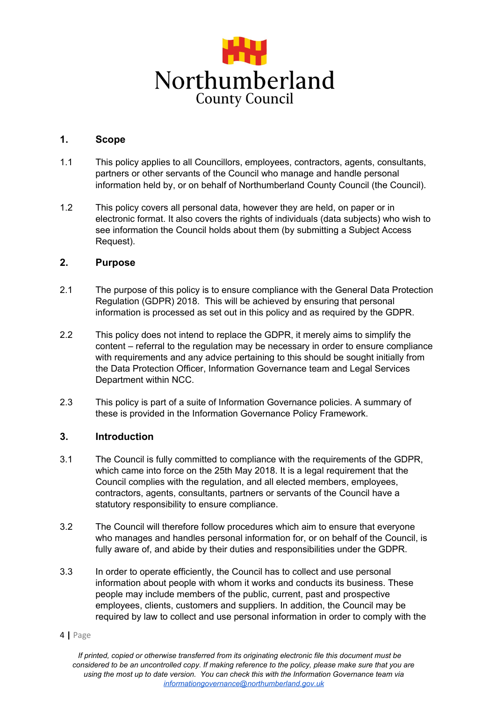

### <span id="page-3-0"></span>**1. Scope**

- 1.1 This policy applies to all Councillors, employees, contractors, agents, consultants, partners or other servants of the Council who manage and handle personal information held by, or on behalf of Northumberland County Council (the Council).
- 1.2 This policy covers all personal data, however they are held, on paper or in electronic format. It also covers the rights of individuals (data subjects) who wish to see information the Council holds about them (by submitting a Subject Access Request).

### <span id="page-3-1"></span>**2. Purpose**

- 2.1 The purpose of this policy is to ensure compliance with the General Data Protection Regulation (GDPR) 2018. This will be achieved by ensuring that personal information is processed as set out in this policy and as required by the GDPR.
- 2.2 This policy does not intend to replace the GDPR, it merely aims to simplify the content – referral to the regulation may be necessary in order to ensure compliance with requirements and any advice pertaining to this should be sought initially from the Data Protection Officer, Information Governance team and Legal Services Department within NCC.
- 2.3 This policy is part of a suite of Information Governance policies. A summary of these is provided in the Information Governance Policy Framework.

## <span id="page-3-2"></span>**3. Introduction**

- 3.1 The Council is fully committed to compliance with the requirements of the GDPR, which came into force on the 25th May 2018. It is a legal requirement that the Council complies with the regulation, and all elected members, employees, contractors, agents, consultants, partners or servants of the Council have a statutory responsibility to ensure compliance.
- 3.2 The Council will therefore follow procedures which aim to ensure that everyone who manages and handles personal information for, or on behalf of the Council, is fully aware of, and abide by their duties and responsibilities under the GDPR.
- 3.3 In order to operate efficiently, the Council has to collect and use personal information about people with whom it works and conducts its business. These people may include members of the public, current, past and prospective employees, clients, customers and suppliers. In addition, the Council may be required by law to collect and use personal information in order to comply with the
- [4](http://www.ico.org.uk/) **|** Page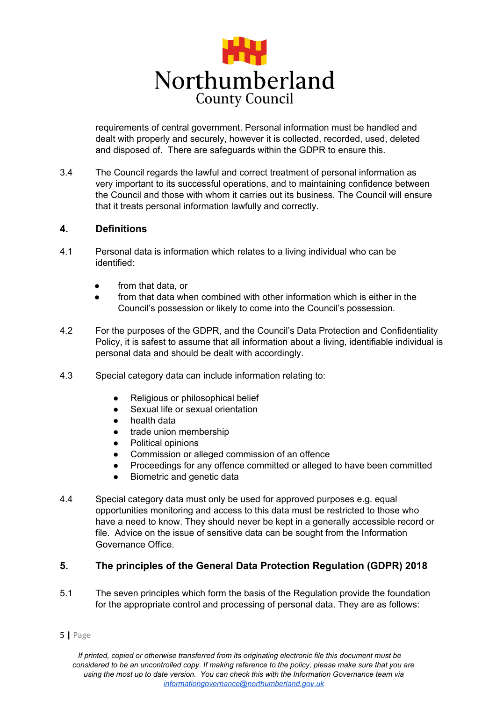

requirements of central government. Personal information must be handled and dealt with properly and securely, however it is collected, recorded, used, deleted and disposed of. There are safeguards within the GDPR to ensure this.

3.4 The Council regards the lawful and correct treatment of personal information as very important to its successful operations, and to maintaining confidence between the Council and those with whom it carries out its business. The Council will ensure that it treats personal information lawfully and correctly.

### <span id="page-4-0"></span>**4. Definitions**

- 4.1 Personal data is information which relates to a living individual who can be identified:
	- from that data, or
	- from that data when combined with other information which is either in the Council's possession or likely to come into the Council's possession.
- 4.2 For the purposes of the GDPR, and the Council's Data Protection and Confidentiality Policy, it is safest to assume that all information about a living, identifiable individual is personal data and should be dealt with accordingly.
- 4.3 Special category data can include information relating to:
	- Religious or philosophical belief
	- Sexual life or sexual orientation
	- health data
	- trade union membership
	- Political opinions
	- Commission or alleged commission of an offence
	- Proceedings for any offence committed or alleged to have been committed
	- Biometric and genetic data
- 4.4 Special category data must only be used for approved purposes e.g. equal opportunities monitoring and access to this data must be restricted to those who have a need to know. They should never be kept in a generally accessible record or file. Advice on the issue of sensitive data can be sought from the Information Governance Office.

## <span id="page-4-1"></span>**5. The principles of the General Data Protection Regulation (GDPR) 2018**

- 5.1 The seven principles which form the basis of the Regulation provide the foundation for the appropriate control and processing of personal data. They are as follows:
- [5](http://www.ico.org.uk/) **|** Page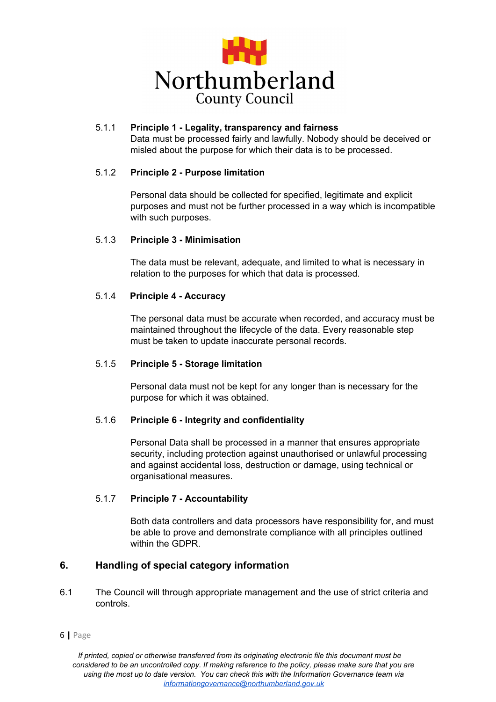

#### 5.1.1 **Principle 1 - Legality, transparency and fairness** Data must be processed fairly and lawfully. Nobody should be deceived or misled about the purpose for which their data is to be processed.

### 5.1.2 **Principle 2 - Purpose limitation**

Personal data should be collected for specified, legitimate and explicit purposes and must not be further processed in a way which is incompatible with such purposes.

#### 5.1.3 **Principle 3 - Minimisation**

The data must be relevant, adequate, and limited to what is necessary in relation to the purposes for which that data is processed.

### 5.1.4 **Principle 4 - Accuracy**

The personal data must be accurate when recorded, and accuracy must be maintained throughout the lifecycle of the data. Every reasonable step must be taken to update inaccurate personal records.

### 5.1.5 **Principle 5 - Storage limitation**

Personal data must not be kept for any longer than is necessary for the purpose for which it was obtained.

### 5.1.6 **Principle 6 - Integrity and confidentiality**

Personal Data shall be processed in a manner that ensures appropriate security, including protection against unauthorised or unlawful processing and against accidental loss, destruction or damage, using technical or organisational measures.

### 5.1.7 **Principle 7 - Accountability**

Both data controllers and data processors have responsibility for, and must be able to prove and demonstrate compliance with all principles outlined within the GDPR.

## **6. Handling of special category information**

- 6.1 The Council will through appropriate management and the use of strict criteria and controls.
- [6](http://www.ico.org.uk/) **|** Page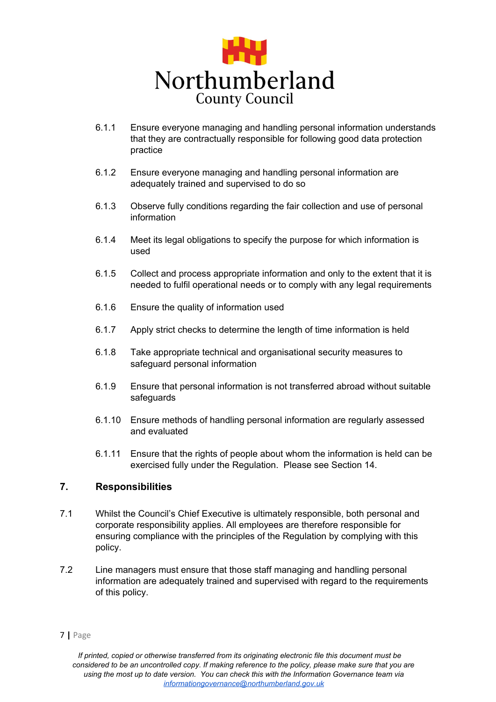

- 6.1.1 Ensure everyone managing and handling personal information understands that they are contractually responsible for following good data protection practice
- 6.1.2 Ensure everyone managing and handling personal information are adequately trained and supervised to do so
- 6.1.3 Observe fully conditions regarding the fair collection and use of personal information
- 6.1.4 Meet its legal obligations to specify the purpose for which information is used
- 6.1.5 Collect and process appropriate information and only to the extent that it is needed to fulfil operational needs or to comply with any legal requirements
- 6.1.6 Ensure the quality of information used
- 6.1.7 Apply strict checks to determine the length of time information is held
- 6.1.8 Take appropriate technical and organisational security measures to safeguard personal information
- 6.1.9 Ensure that personal information is not transferred abroad without suitable safeguards
- 6.1.10 Ensure methods of handling personal information are regularly assessed and evaluated
- 6.1.11 Ensure that the rights of people about whom the information is held can be exercised fully under the Regulation. Please see Section 14.

# <span id="page-6-0"></span>**7. Responsibilities**

- 7.1 Whilst the Council's Chief Executive is ultimately responsible, both personal and corporate responsibility applies. All employees are therefore responsible for ensuring compliance with the principles of the Regulation by complying with this policy.
- 7.2 Line managers must ensure that those staff managing and handling personal information are adequately trained and supervised with regard to the requirements of this policy.

[<sup>7</sup>](http://www.ico.org.uk/) **|** Page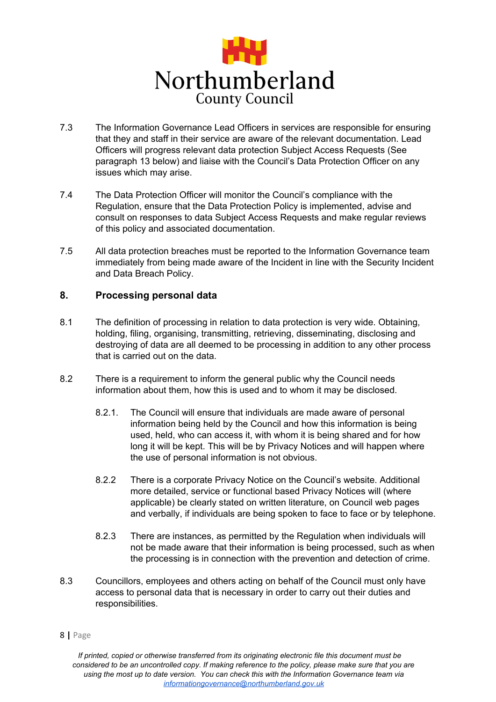

- 7.3 The Information Governance Lead Officers in services are responsible for ensuring that they and staff in their service are aware of the relevant documentation. Lead Officers will progress relevant data protection Subject Access Requests (See paragraph 13 below) and liaise with the Council's Data Protection Officer on any issues which may arise.
- 7.4 The Data Protection Officer will monitor the Council's compliance with the Regulation, ensure that the Data Protection Policy is implemented, advise and consult on responses to data Subject Access Requests and make regular reviews of this policy and associated documentation.
- 7.5 All data protection breaches must be reported to the Information Governance team immediately from being made aware of the Incident in line with the Security Incident and Data Breach Policy.

## <span id="page-7-0"></span>**8. Processing personal data**

- 8.1 The definition of processing in relation to data protection is very wide. Obtaining, holding, filing, organising, transmitting, retrieving, disseminating, disclosing and destroying of data are all deemed to be processing in addition to any other process that is carried out on the data.
- 8.2 There is a requirement to inform the general public why the Council needs information about them, how this is used and to whom it may be disclosed.
	- 8.2.1. The Council will ensure that individuals are made aware of personal information being held by the Council and how this information is being used, held, who can access it, with whom it is being shared and for how long it will be kept. This will be by Privacy Notices and will happen where the use of personal information is not obvious.
	- 8.2.2 There is a corporate Privacy Notice on the Council's website. Additional more detailed, service or functional based Privacy Notices will (where applicable) be clearly stated on written literature, on Council web pages and verbally, if individuals are being spoken to face to face or by telephone.
	- 8.2.3 There are instances, as permitted by the Regulation when individuals will not be made aware that their information is being processed, such as when the processing is in connection with the prevention and detection of crime.
- 8.3 Councillors, employees and others acting on behalf of the Council must only have access to personal data that is necessary in order to carry out their duties and responsibilities.

[8](http://www.ico.org.uk/) **|** Page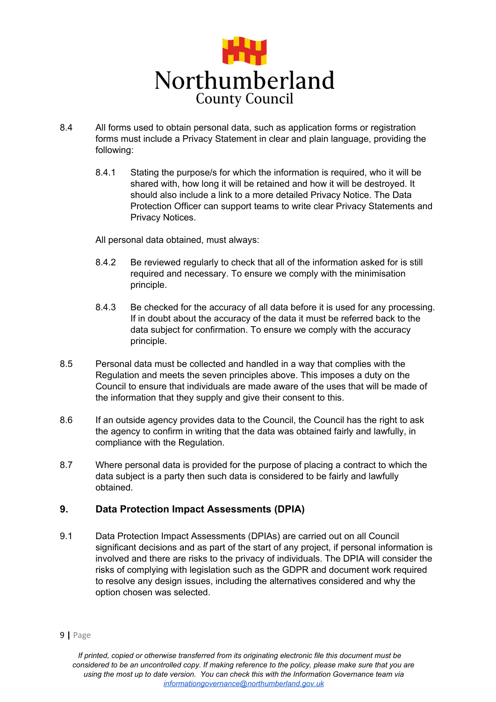

- 8.4 All forms used to obtain personal data, such as application forms or registration forms must include a Privacy Statement in clear and plain language, providing the following:
	- 8.4.1 Stating the purpose/s for which the information is required, who it will be shared with, how long it will be retained and how it will be destroyed. It should also include a link to a more detailed Privacy Notice. The Data Protection Officer can support teams to write clear Privacy Statements and Privacy Notices.

All personal data obtained, must always:

- 8.4.2 Be reviewed regularly to check that all of the information asked for is still required and necessary. To ensure we comply with the minimisation principle.
- 8.4.3 Be checked for the accuracy of all data before it is used for any processing. If in doubt about the accuracy of the data it must be referred back to the data subject for confirmation. To ensure we comply with the accuracy principle.
- 8.5 Personal data must be collected and handled in a way that complies with the Regulation and meets the seven principles above. This imposes a duty on the Council to ensure that individuals are made aware of the uses that will be made of the information that they supply and give their consent to this.
- 8.6 If an outside agency provides data to the Council, the Council has the right to ask the agency to confirm in writing that the data was obtained fairly and lawfully, in compliance with the Regulation.
- 8.7 Where personal data is provided for the purpose of placing a contract to which the data subject is a party then such data is considered to be fairly and lawfully obtained.

# <span id="page-8-0"></span>**9. Data Protection Impact Assessments (DPIA)**

9.1 Data Protection Impact Assessments (DPIAs) are carried out on all Council significant decisions and as part of the start of any project, if personal information is involved and there are risks to the privacy of individuals. The DPIA will consider the risks of complying with legislation such as the GDPR and document work required to resolve any design issues, including the alternatives considered and why the option chosen was selected.

[<sup>9</sup>](http://www.ico.org.uk/) **|** Page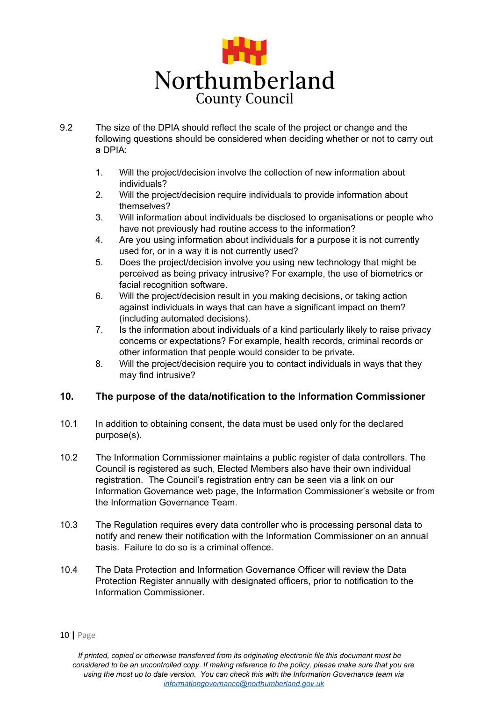

- 9.2 The size of the DPIA should reflect the scale of the project or change and the following questions should be considered when deciding whether or not to carry out a DPIA:
	- 1. Will the project/decision involve the collection of new information about individuals?
	- 2. Will the project/decision require individuals to provide information about themselves?
	- 3. Will information about individuals be disclosed to organisations or people who have not previously had routine access to the information?
	- 4. Are you using information about individuals for a purpose it is not currently used for, or in a way it is not currently used?
	- 5. Does the project/decision involve you using new technology that might be perceived as being privacy intrusive? For example, the use of biometrics or facial recognition software.
	- 6. Will the project/decision result in you making decisions, or taking action against individuals in ways that can have a significant impact on them? (including automated decisions).
	- 7. Is the information about individuals of a kind particularly likely to raise privacy concerns or expectations? For example, health records, criminal records or other information that people would consider to be private.
	- 8. Will the project/decision require you to contact individuals in ways that they may find intrusive?

## <span id="page-9-0"></span>**10. The purpose of the data/notification to the Information Commissioner**

- 10.1 In addition to obtaining consent, the data must be used only for the declared purpose(s).
- 10.2 The Information Commissioner maintains a public register of data controllers. The Council is registered as such, Elected Members also have their own individual registration. The Council's registration entry can be seen via a link on our Information Governance web page, the Information Commissioner's website or from the Information Governance Team.
- 10.3 The Regulation requires every data controller who is processing personal data to notify and renew their notification with the Information Commissioner on an annual basis. Failure to do so is a criminal offence.
- 10.4 The Data Protection and Information Governance Officer will review the Data Protection Register annually with designated officers, prior to notification to the Information Commissioner.

[<sup>10</sup>](http://www.ico.org.uk/) **|** Page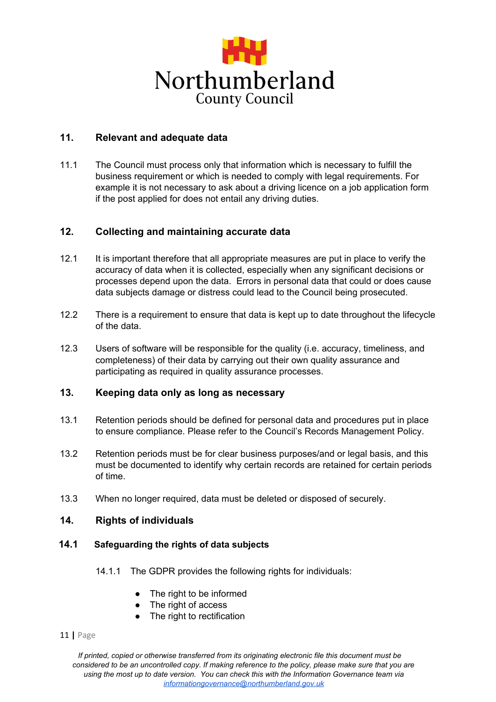

# <span id="page-10-0"></span>**11. Relevant and adequate data**

11.1 The Council must process only that information which is necessary to fulfill the business requirement or which is needed to comply with legal requirements. For example it is not necessary to ask about a driving licence on a job application form if the post applied for does not entail any driving duties.

## <span id="page-10-1"></span>**12. Collecting and maintaining accurate data**

- 12.1 It is important therefore that all appropriate measures are put in place to verify the accuracy of data when it is collected, especially when any significant decisions or processes depend upon the data. Errors in personal data that could or does cause data subjects damage or distress could lead to the Council being prosecuted.
- 12.2 There is a requirement to ensure that data is kept up to date throughout the lifecycle of the data.
- 12.3 Users of software will be responsible for the quality (i.e. accuracy, timeliness, and completeness) of their data by carrying out their own quality assurance and participating as required in quality assurance processes.

# <span id="page-10-2"></span>**13. Keeping data only as long as necessary**

- 13.1 Retention periods should be defined for personal data and procedures put in place to ensure compliance. Please refer to the Council's Records Management Policy.
- 13.2 Retention periods must be for clear business purposes/and or legal basis, and this must be documented to identify why certain records are retained for certain periods of time.
- <span id="page-10-3"></span>13.3 When no longer required, data must be deleted or disposed of securely.

### **14. Rights of individuals**

### **14.1 Safeguarding the rights of data subjects**

- 14.1.1 The GDPR provides the following rights for individuals:
	- The right to be informed
	- The right of access
	- The right to rectification
- [11](http://www.ico.org.uk/) **|** Page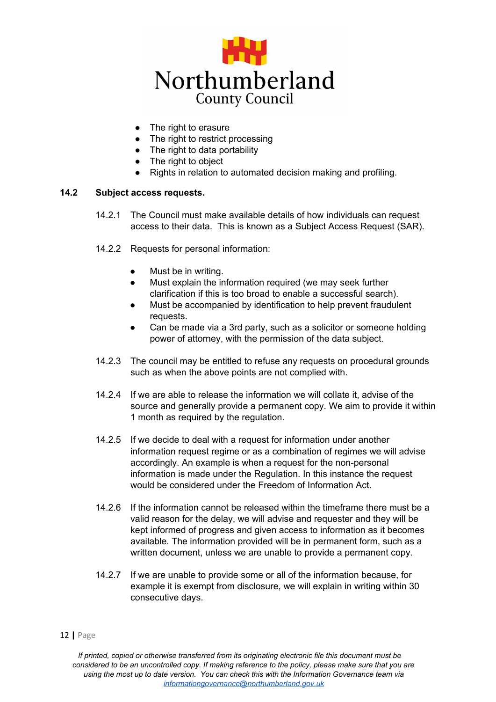

- The right to erasure
- The right to restrict processing
- $\bullet$  The right to data portability
- The right to object
- Rights in relation to automated decision making and profiling.

### **14.2 Subject access requests.**

- 14.2.1 The Council must make available details of how individuals can request access to their data. This is known as a Subject Access Request (SAR).
- 14.2.2 Requests for personal information:
	- Must be in writing.
	- Must explain the information required (we may seek further clarification if this is too broad to enable a successful search).
	- Must be accompanied by identification to help prevent fraudulent requests.
	- Can be made via a 3rd party, such as a solicitor or someone holding power of attorney, with the permission of the data subject.
- 14.2.3 The council may be entitled to refuse any requests on procedural grounds such as when the above points are not complied with.
- 14.2.4 If we are able to release the information we will collate it, advise of the source and generally provide a permanent copy. We aim to provide it within 1 month as required by the regulation.
- 14.2.5 If we decide to deal with a request for information under another information request regime or as a combination of regimes we will advise accordingly. An example is when a request for the non-personal information is made under the Regulation. In this instance the request would be considered under the Freedom of Information Act.
- 14.2.6 If the information cannot be released within the timeframe there must be a valid reason for the delay, we will advise and requester and they will be kept informed of progress and given access to information as it becomes available. The information provided will be in permanent form, such as a written document, unless we are unable to provide a permanent copy.
- 14.2.7 If we are unable to provide some or all of the information because, for example it is exempt from disclosure, we will explain in writing within 30 consecutive days.

#### [12](http://www.ico.org.uk/) **|** Page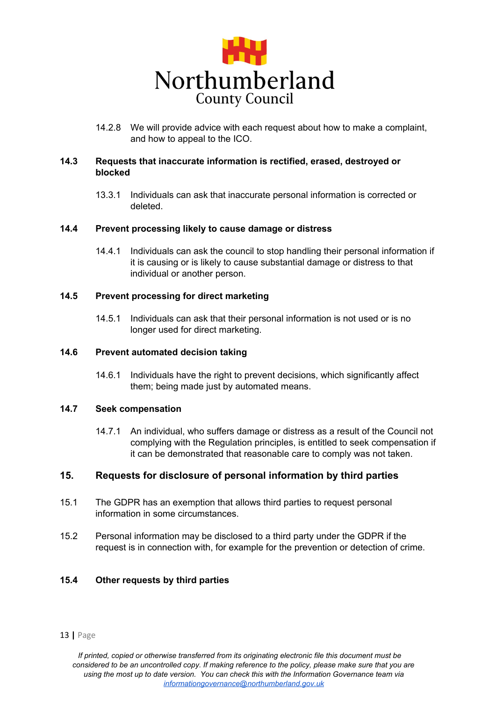

14.2.8 We will provide advice with each request about how to make a complaint, and how to appeal to the ICO.

### **14.3 Requests that inaccurate information is rectified, erased, destroyed or blocked**

13.3.1 Individuals can ask that inaccurate personal information is corrected or deleted.

### **14.4 Prevent processing likely to cause damage or distress**

14.4.1 Individuals can ask the council to stop handling their personal information if it is causing or is likely to cause substantial damage or distress to that individual or another person.

### **14.5 Prevent processing for direct marketing**

14.5.1 Individuals can ask that their personal information is not used or is no longer used for direct marketing.

#### **14.6 Prevent automated decision taking**

14.6.1 Individuals have the right to prevent decisions, which significantly affect them; being made just by automated means.

### **14.7 Seek compensation**

14.7.1 An individual, who suffers damage or distress as a result of the Council not complying with the Regulation principles, is entitled to seek compensation if it can be demonstrated that reasonable care to comply was not taken.

### <span id="page-12-0"></span>**15. Requests for disclosure of personal information by third parties**

- 15.1 The GDPR has an exemption that allows third parties to request personal information in some circumstances.
- 15.2 Personal information may be disclosed to a third party under the GDPR if the request is in connection with, for example for the prevention or detection of crime.

### **15.4 Other requests by third parties**

#### [13](http://www.ico.org.uk/) **|** Page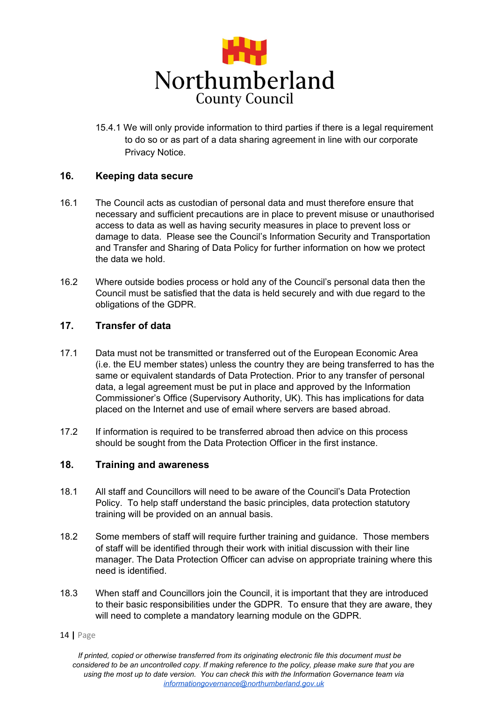

15.4.1 We will only provide information to third parties if there is a legal requirement to do so or as part of a data sharing agreement in line with our corporate Privacy Notice.

### <span id="page-13-0"></span>**16. Keeping data secure**

- 16.1 The Council acts as custodian of personal data and must therefore ensure that necessary and sufficient precautions are in place to prevent misuse or unauthorised access to data as well as having security measures in place to prevent loss or damage to data. Please see the Council's Information Security and Transportation and Transfer and Sharing of Data Policy for further information on how we protect the data we hold.
- 16.2 Where outside bodies process or hold any of the Council's personal data then the Council must be satisfied that the data is held securely and with due regard to the obligations of the GDPR.

## <span id="page-13-1"></span>**17. Transfer of data**

- 17.1 Data must not be transmitted or transferred out of the European Economic Area (i.e. the EU member states) unless the country they are being transferred to has the same or equivalent standards of Data Protection. Prior to any transfer of personal data, a legal agreement must be put in place and approved by the Information Commissioner's Office (Supervisory Authority, UK). This has implications for data placed on the Internet and use of email where servers are based abroad.
- 17.2 If information is required to be transferred abroad then advice on this process should be sought from the Data Protection Officer in the first instance.

## <span id="page-13-2"></span>**18. Training and awareness**

- 18.1 All staff and Councillors will need to be aware of the Council's Data Protection Policy. To help staff understand the basic principles, data protection statutory training will be provided on an annual basis.
- 18.2 Some members of staff will require further training and guidance. Those members of staff will be identified through their work with initial discussion with their line manager. The Data Protection Officer can advise on appropriate training where this need is identified.
- 18.3 When staff and Councillors join the Council, it is important that they are introduced to their basic responsibilities under the GDPR. To ensure that they are aware, they will need to complete a mandatory learning module on the GDPR.
- [14](http://www.ico.org.uk/) **|** Page